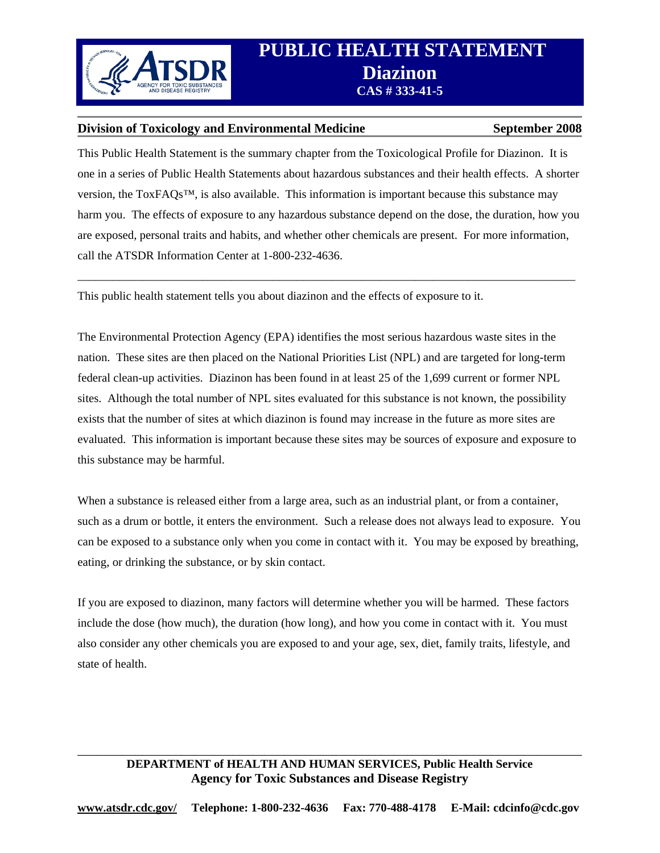

#### **Division of Toxicology and Environmental Medicine September 2008**

This Public Health Statement is the summary chapter from the Toxicological Profile for Diazinon. It is one in a series of Public Health Statements about hazardous substances and their health effects. A shorter version, the ToxFAQs™, is also available. This information is important because this substance may harm you. The effects of exposure to any hazardous substance depend on the dose, the duration, how you are exposed, personal traits and habits, and whether other chemicals are present. For more information, call the ATSDR Information Center at 1-800-232-4636.

\_\_\_\_\_\_\_\_\_\_\_\_\_\_\_\_\_\_\_\_\_\_\_\_\_\_\_\_\_\_\_\_\_\_\_\_\_\_\_\_\_\_\_\_\_\_\_\_\_\_\_\_\_\_\_\_\_\_\_\_\_\_\_\_\_\_\_\_\_\_\_\_\_\_\_\_\_\_\_\_\_\_\_\_

This public health statement tells you about diazinon and the effects of exposure to it.

The Environmental Protection Agency (EPA) identifies the most serious hazardous waste sites in the nation. These sites are then placed on the National Priorities List (NPL) and are targeted for long-term federal clean-up activities. Diazinon has been found in at least 25 of the 1,699 current or former NPL sites. Although the total number of NPL sites evaluated for this substance is not known, the possibility exists that the number of sites at which diazinon is found may increase in the future as more sites are evaluated. This information is important because these sites may be sources of exposure and exposure to this substance may be harmful.

When a substance is released either from a large area, such as an industrial plant, or from a container, such as a drum or bottle, it enters the environment. Such a release does not always lead to exposure. You can be exposed to a substance only when you come in contact with it. You may be exposed by breathing, eating, or drinking the substance, or by skin contact.

If you are exposed to diazinon, many factors will determine whether you will be harmed. These factors include the dose (how much), the duration (how long), and how you come in contact with it. You must also consider any other chemicals you are exposed to and your age, sex, diet, family traits, lifestyle, and state of health.

# **DEPARTMENT of HEALTH AND HUMAN SERVICES, Public Health Service Agency for Toxic Substances and Disease Registry**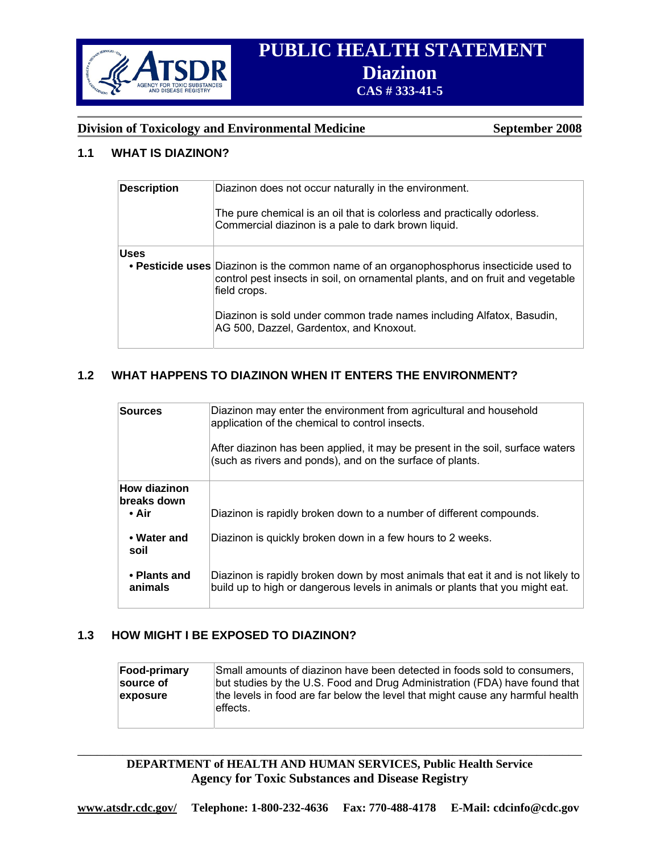

# **PUBLIC HEALTH STATEMENT**  *B***<br>
<b>EXAMPLE SUBSTANCES**<br>
CAS # 333-41-5

### **Division of Toxicology and Environmental Medicine September 2008**

# **1.1 WHAT IS DIAZINON?**

| <b>Description</b> | Diazinon does not occur naturally in the environment.<br>The pure chemical is an oil that is colorless and practically odorless.<br>Commercial diazinon is a pale to dark brown liquid.                                                                                                                       |
|--------------------|---------------------------------------------------------------------------------------------------------------------------------------------------------------------------------------------------------------------------------------------------------------------------------------------------------------|
| <b>Uses</b>        | • Pesticide uses Diazinon is the common name of an organophosphorus insecticide used to<br>control pest insects in soil, on ornamental plants, and on fruit and vegetable<br>field crops.<br>Diazinon is sold under common trade names including Alfatox, Basudin,<br>AG 500, Dazzel, Gardentox, and Knoxout. |

# **1.2 WHAT HAPPENS TO DIAZINON WHEN IT ENTERS THE ENVIRONMENT?**

| <b>Sources</b>                              | Diazinon may enter the environment from agricultural and household<br>application of the chemical to control insects.<br>After diazinon has been applied, it may be present in the soil, surface waters<br>(such as rivers and ponds), and on the surface of plants. |
|---------------------------------------------|----------------------------------------------------------------------------------------------------------------------------------------------------------------------------------------------------------------------------------------------------------------------|
| <b>How diazinon</b><br>breaks down<br>• Air | Diazinon is rapidly broken down to a number of different compounds.                                                                                                                                                                                                  |
| • Water and<br>soil                         | Diazinon is quickly broken down in a few hours to 2 weeks.                                                                                                                                                                                                           |
| • Plants and<br>animals                     | Diazinon is rapidly broken down by most animals that eat it and is not likely to<br>build up to high or dangerous levels in animals or plants that you might eat.                                                                                                    |

#### **1.3 HOW MIGHT I BE EXPOSED TO DIAZINON?**

| <b>Food-primary</b> | Small amounts of diazinon have been detected in foods sold to consumers,                   |
|---------------------|--------------------------------------------------------------------------------------------|
| source of           | but studies by the U.S. Food and Drug Administration (FDA) have found that                 |
| exposure            | the levels in food are far below the level that might cause any harmful health<br>effects. |

#### **DEPARTMENT of HEALTH AND HUMAN SERVICES, Public Health Service Agency for Toxic Substances and Disease Registry**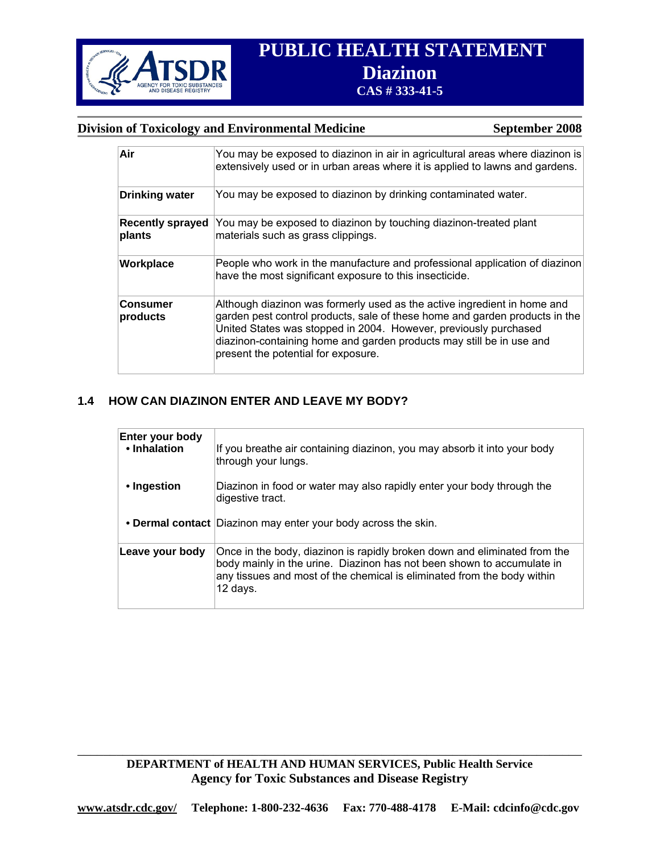

# **PUBLIC HEALTH STATEMENT PRINCESS AND REACTION CAS # 333-41-5**

#### **Division of Toxicology and Environmental Medicine September 2008**

| Air                               | You may be exposed to diazinon in air in agricultural areas where diazinon is<br>extensively used or in urban areas where it is applied to lawns and gardens.                                                                                                                                                                              |
|-----------------------------------|--------------------------------------------------------------------------------------------------------------------------------------------------------------------------------------------------------------------------------------------------------------------------------------------------------------------------------------------|
| <b>Drinking water</b>             | You may be exposed to diazinon by drinking contaminated water.                                                                                                                                                                                                                                                                             |
| <b>Recently sprayed</b><br>plants | You may be exposed to diazinon by touching diazinon-treated plant<br>materials such as grass clippings.                                                                                                                                                                                                                                    |
| Workplace                         | People who work in the manufacture and professional application of diazinon<br>have the most significant exposure to this insecticide.                                                                                                                                                                                                     |
| <b>Consumer</b><br>products       | Although diazinon was formerly used as the active ingredient in home and<br>garden pest control products, sale of these home and garden products in the<br>United States was stopped in 2004. However, previously purchased<br>diazinon-containing home and garden products may still be in use and<br>present the potential for exposure. |

### **1.4 HOW CAN DIAZINON ENTER AND LEAVE MY BODY?**

| Enter your body<br>• Inhalation | If you breathe air containing diazinon, you may absorb it into your body<br>through your lungs.                                                                                                                                            |
|---------------------------------|--------------------------------------------------------------------------------------------------------------------------------------------------------------------------------------------------------------------------------------------|
| • Ingestion                     | Diazinon in food or water may also rapidly enter your body through the<br>digestive tract.                                                                                                                                                 |
|                                 | • Dermal contact Diazinon may enter your body across the skin.                                                                                                                                                                             |
| Leave your body                 | Once in the body, diazinon is rapidly broken down and eliminated from the<br>body mainly in the urine. Diazinon has not been shown to accumulate in<br>any tissues and most of the chemical is eliminated from the body within<br>12 days. |

**DEPARTMENT of HEALTH AND HUMAN SERVICES, Public Health Service Agency for Toxic Substances and Disease Registry**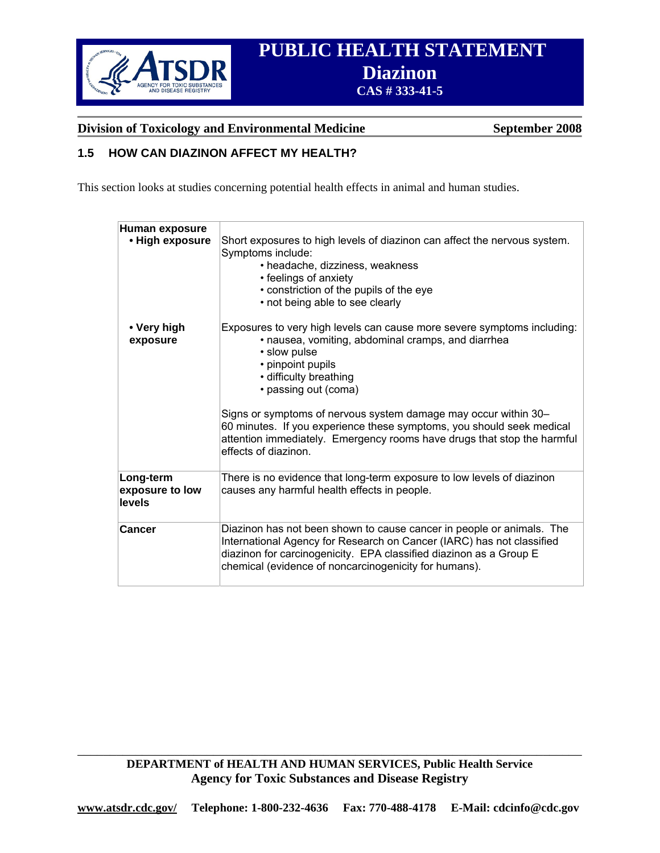

# **PUBLIC HEALTH STATEMENT EXAMPLE DESCRIPTION CAS # 333-41-5**

**Division of Toxicology and Environmental Medicine September 2008** 

## **1.5 HOW CAN DIAZINON AFFECT MY HEALTH?**

This section looks at studies concerning potential health effects in animal and human studies.

| Human exposure<br>• High exposure      | Short exposures to high levels of diazinon can affect the nervous system.<br>Symptoms include:<br>• headache, dizziness, weakness<br>• feelings of anxiety<br>• constriction of the pupils of the eye<br>• not being able to see clearly                                      |
|----------------------------------------|-------------------------------------------------------------------------------------------------------------------------------------------------------------------------------------------------------------------------------------------------------------------------------|
| • Very high<br>exposure                | Exposures to very high levels can cause more severe symptoms including:<br>· nausea, vomiting, abdominal cramps, and diarrhea<br>• slow pulse<br>• pinpoint pupils<br>• difficulty breathing<br>• passing out (coma)                                                          |
|                                        | Signs or symptoms of nervous system damage may occur within 30–<br>60 minutes. If you experience these symptoms, you should seek medical<br>attention immediately. Emergency rooms have drugs that stop the harmful<br>effects of diazinon.                                   |
| Long-term<br>exposure to low<br>levels | There is no evidence that long-term exposure to low levels of diazinon<br>causes any harmful health effects in people.                                                                                                                                                        |
| Cancer                                 | Diazinon has not been shown to cause cancer in people or animals. The<br>International Agency for Research on Cancer (IARC) has not classified<br>diazinon for carcinogenicity. EPA classified diazinon as a Group E<br>chemical (evidence of noncarcinogenicity for humans). |

**DEPARTMENT of HEALTH AND HUMAN SERVICES, Public Health Service Agency for Toxic Substances and Disease Registry**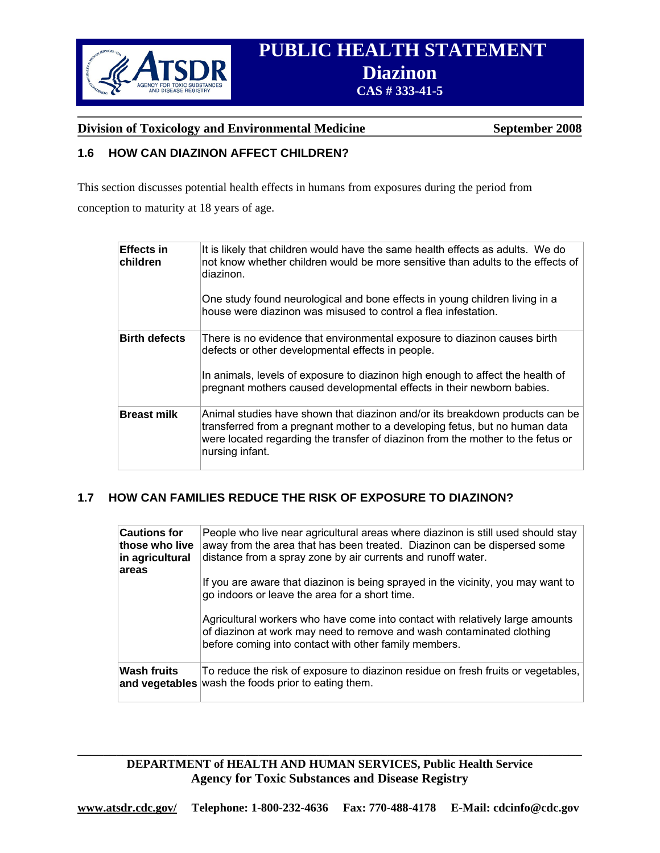

# **PUBLIC HEALTH STATEMENT**  *BENET SORREN CAS # 333-41-5* **<b>CAS # 333-41-5**

#### **Division of Toxicology and Environmental Medicine September 2008**

### **1.6 HOW CAN DIAZINON AFFECT CHILDREN?**

This section discusses potential health effects in humans from exposures during the period from

conception to maturity at 18 years of age.

| <b>Effects in</b><br>children | It is likely that children would have the same health effects as adults. We do<br>not know whether children would be more sensitive than adults to the effects of<br>diazinon.<br>One study found neurological and bone effects in young children living in a<br>house were diazinon was misused to control a flea infestation. |
|-------------------------------|---------------------------------------------------------------------------------------------------------------------------------------------------------------------------------------------------------------------------------------------------------------------------------------------------------------------------------|
| <b>Birth defects</b>          | There is no evidence that environmental exposure to diazinon causes birth<br>defects or other developmental effects in people.<br>In animals, levels of exposure to diazinon high enough to affect the health of<br>pregnant mothers caused developmental effects in their newborn babies.                                      |
| <b>Breast milk</b>            | Animal studies have shown that diazinon and/or its breakdown products can be<br>transferred from a pregnant mother to a developing fetus, but no human data<br>were located regarding the transfer of diazinon from the mother to the fetus or<br>nursing infant.                                                               |

### **1.7 HOW CAN FAMILIES REDUCE THE RISK OF EXPOSURE TO DIAZINON?**

| <b>Cautions for</b><br>those who live<br>in agricultural | People who live near agricultural areas where diazinon is still used should stay<br>away from the area that has been treated. Diazinon can be dispersed some<br>distance from a spray zone by air currents and runoff water. |
|----------------------------------------------------------|------------------------------------------------------------------------------------------------------------------------------------------------------------------------------------------------------------------------------|
| areas                                                    | If you are aware that diazinon is being sprayed in the vicinity, you may want to<br>go indoors or leave the area for a short time.                                                                                           |
|                                                          | Agricultural workers who have come into contact with relatively large amounts<br>of diazinon at work may need to remove and wash contaminated clothing<br>before coming into contact with other family members.              |
| <b>Wash fruits</b>                                       | To reduce the risk of exposure to diazinon residue on fresh fruits or vegetables,<br>and vegetables wash the foods prior to eating them.                                                                                     |

#### \_\_\_\_\_\_\_\_\_\_\_\_\_\_\_\_\_\_\_\_\_\_\_\_\_\_\_\_\_\_\_\_\_\_\_\_\_\_\_\_\_\_\_\_\_\_\_\_\_\_\_\_\_\_\_\_\_\_\_\_\_\_\_\_\_\_\_\_\_\_\_\_\_\_\_\_\_\_ **DEPARTMENT of HEALTH AND HUMAN SERVICES, Public Health Service Agency for Toxic Substances and Disease Registry**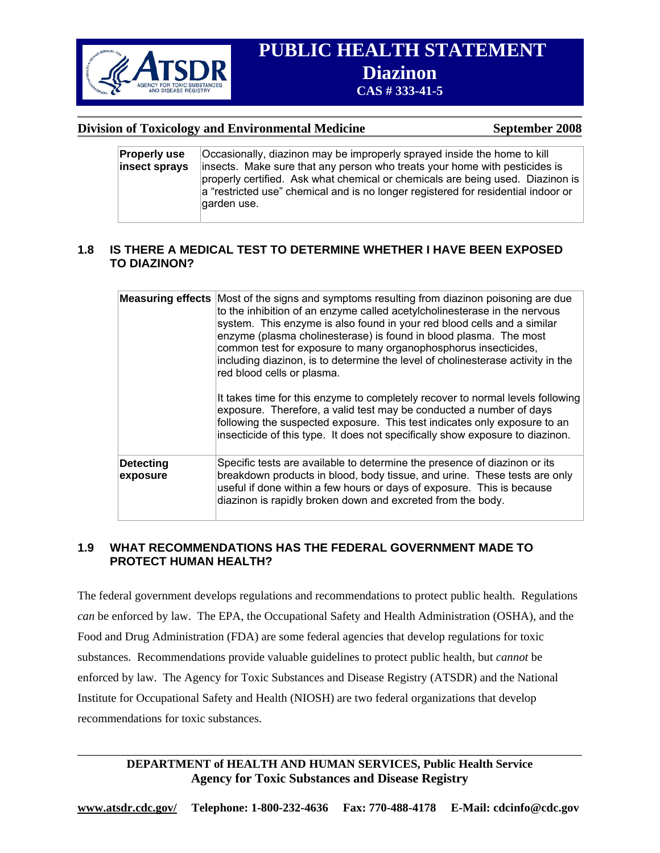

# **PUBLIC HEALTH STATEMENT Diazinon** CAS # 333-41-5

#### **Division of Toxicology and Environmental Medicine September 2008**

| <b>Properly use</b> | Occasionally, diazinon may be improperly sprayed inside the home to kill                                                                                            |
|---------------------|---------------------------------------------------------------------------------------------------------------------------------------------------------------------|
| insect sprays       | insects. Make sure that any person who treats your home with pesticides is                                                                                          |
|                     | properly certified. Ask what chemical or chemicals are being used. Diazinon is<br>a "restricted use" chemical and is no longer registered for residential indoor or |
|                     | garden use.                                                                                                                                                         |

#### **1.8 IS THERE A MEDICAL TEST TO DETERMINE WHETHER I HAVE BEEN EXPOSED TO DIAZINON?**

|                              | <b>Measuring effects</b> Most of the signs and symptoms resulting from diazinon poisoning are due<br>to the inhibition of an enzyme called acetylcholinesterase in the nervous<br>system. This enzyme is also found in your red blood cells and a similar<br>enzyme (plasma cholinesterase) is found in blood plasma. The most<br>common test for exposure to many organophosphorus insecticides,<br>including diazinon, is to determine the level of cholinesterase activity in the<br>red blood cells or plasma. |
|------------------------------|--------------------------------------------------------------------------------------------------------------------------------------------------------------------------------------------------------------------------------------------------------------------------------------------------------------------------------------------------------------------------------------------------------------------------------------------------------------------------------------------------------------------|
|                              | It takes time for this enzyme to completely recover to normal levels following<br>exposure. Therefore, a valid test may be conducted a number of days<br>following the suspected exposure. This test indicates only exposure to an<br>insecticide of this type. It does not specifically show exposure to diazinon.                                                                                                                                                                                                |
| <b>Detecting</b><br>exposure | Specific tests are available to determine the presence of diazinon or its<br>breakdown products in blood, body tissue, and urine. These tests are only<br>useful if done within a few hours or days of exposure. This is because<br>diazinon is rapidly broken down and excreted from the body.                                                                                                                                                                                                                    |

#### **1.9 WHAT RECOMMENDATIONS HAS THE FEDERAL GOVERNMENT MADE TO PROTECT HUMAN HEALTH?**

The federal government develops regulations and recommendations to protect public health. Regulations *can* be enforced by law. The EPA, the Occupational Safety and Health Administration (OSHA), and the Food and Drug Administration (FDA) are some federal agencies that develop regulations for toxic substances. Recommendations provide valuable guidelines to protect public health, but *cannot* be enforced by law. The Agency for Toxic Substances and Disease Registry (ATSDR) and the National Institute for Occupational Safety and Health (NIOSH) are two federal organizations that develop recommendations for toxic substances.

## **DEPARTMENT of HEALTH AND HUMAN SERVICES, Public Health Service Agency for Toxic Substances and Disease Registry**

\_\_\_\_\_\_\_\_\_\_\_\_\_\_\_\_\_\_\_\_\_\_\_\_\_\_\_\_\_\_\_\_\_\_\_\_\_\_\_\_\_\_\_\_\_\_\_\_\_\_\_\_\_\_\_\_\_\_\_\_\_\_\_\_\_\_\_\_\_\_\_\_\_\_\_\_\_\_

**www.atsdr.cdc.gov/ Telephone: 1-800-232-4636 Fax: 770-488-4178 E-Mail: cdcinfo@cdc.gov**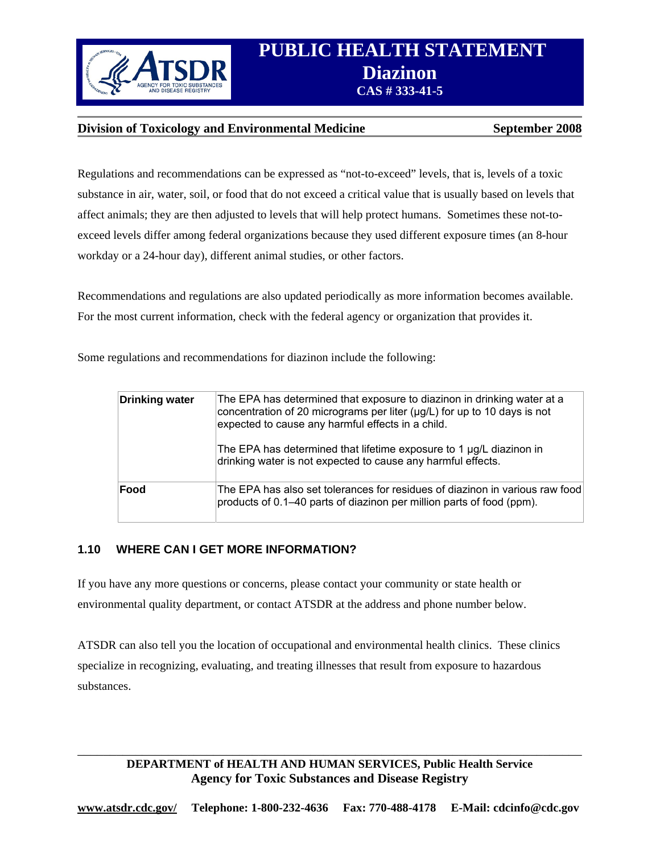

# **PUBLIC HEALTH STATEMENT PROPERTY SUPPLY TO BE STATED TO A S # 333-41-5**

### **Division of Toxicology and Environmental Medicine September 2008**

Regulations and recommendations can be expressed as "not-to-exceed" levels, that is, levels of a toxic substance in air, water, soil, or food that do not exceed a critical value that is usually based on levels that affect animals; they are then adjusted to levels that will help protect humans. Sometimes these not-toexceed levels differ among federal organizations because they used different exposure times (an 8-hour workday or a 24-hour day), different animal studies, or other factors.

Recommendations and regulations are also updated periodically as more information becomes available. For the most current information, check with the federal agency or organization that provides it.

Some regulations and recommendations for diazinon include the following:

| <b>Drinking water</b> | The EPA has determined that exposure to diazinon in drinking water at a<br>concentration of 20 micrograms per liter ( $\mu$ g/L) for up to 10 days is not<br>expected to cause any harmful effects in a child.<br>The EPA has determined that lifetime exposure to 1 µg/L diazinon in<br>drinking water is not expected to cause any harmful effects. |
|-----------------------|-------------------------------------------------------------------------------------------------------------------------------------------------------------------------------------------------------------------------------------------------------------------------------------------------------------------------------------------------------|
| Food                  | The EPA has also set tolerances for residues of diazinon in various raw food<br>products of 0.1–40 parts of diazinon per million parts of food (ppm).                                                                                                                                                                                                 |

### **1.10 WHERE CAN I GET MORE INFORMATION?**

If you have any more questions or concerns, please contact your community or state health or environmental quality department, or contact ATSDR at the address and phone number below.

ATSDR can also tell you the location of occupational and environmental health clinics. These clinics specialize in recognizing, evaluating, and treating illnesses that result from exposure to hazardous substances.

## **DEPARTMENT of HEALTH AND HUMAN SERVICES, Public Health Service Agency for Toxic Substances and Disease Registry**